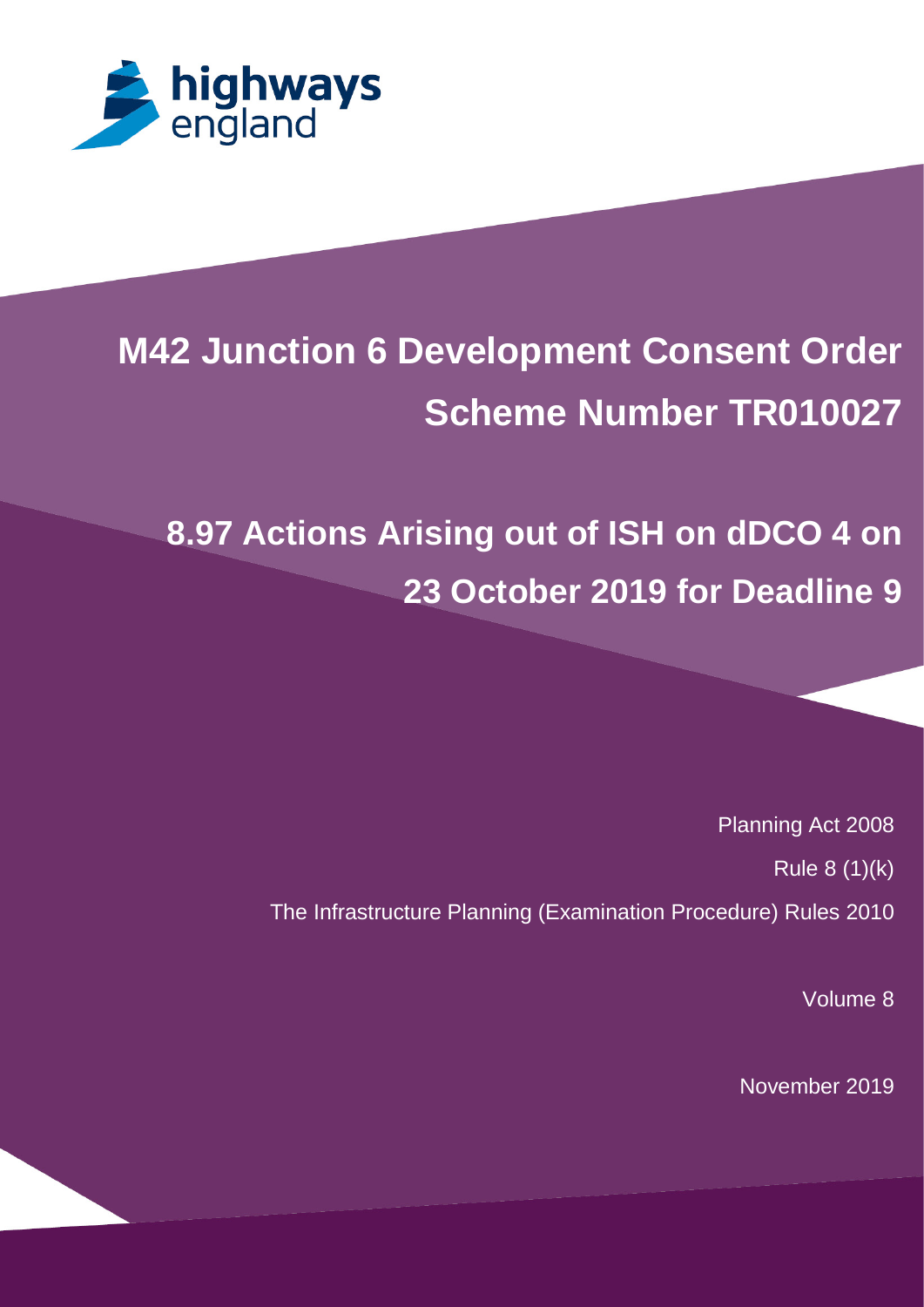

# **M42 Junction 6 Development Consent Order Scheme Number TR010027**

**8.97 Actions Arising out of ISH on dDCO 4 on 23 October 2019 for Deadline 9**

> Planning Act 2008 Rule 8 (1)(k) The Infrastructure Planning (Examination Procedure) Rules 2010

> > Volume 8

November 2019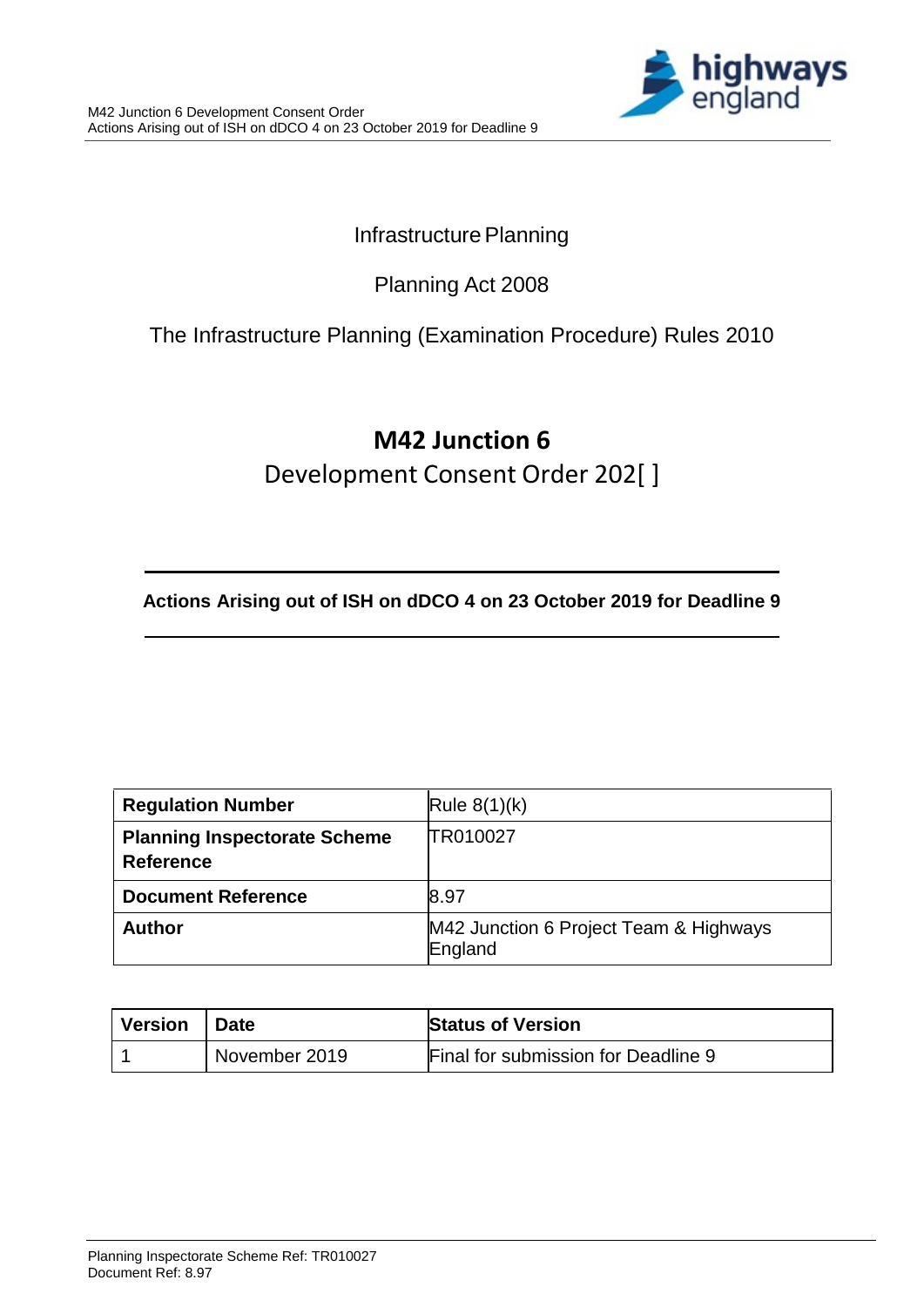

### Infrastructure Planning

### Planning Act 2008

### The Infrastructure Planning (Examination Procedure) Rules 2010

## **M42 Junction 6**

Development Consent Order 202[ ]

**Actions Arising out of ISH on dDCO 4 on 23 October 2019 for Deadline 9**

| <b>Regulation Number</b>                                | Rule $8(1)(k)$                                    |
|---------------------------------------------------------|---------------------------------------------------|
| <b>Planning Inspectorate Scheme</b><br><b>Reference</b> | TR010027                                          |
| <b>Document Reference</b>                               | 8.97                                              |
| <b>Author</b>                                           | M42 Junction 6 Project Team & Highways<br>England |

| ∣ Version | <b>Date</b>   | <b>Status of Version</b>            |
|-----------|---------------|-------------------------------------|
|           | November 2019 | Final for submission for Deadline 9 |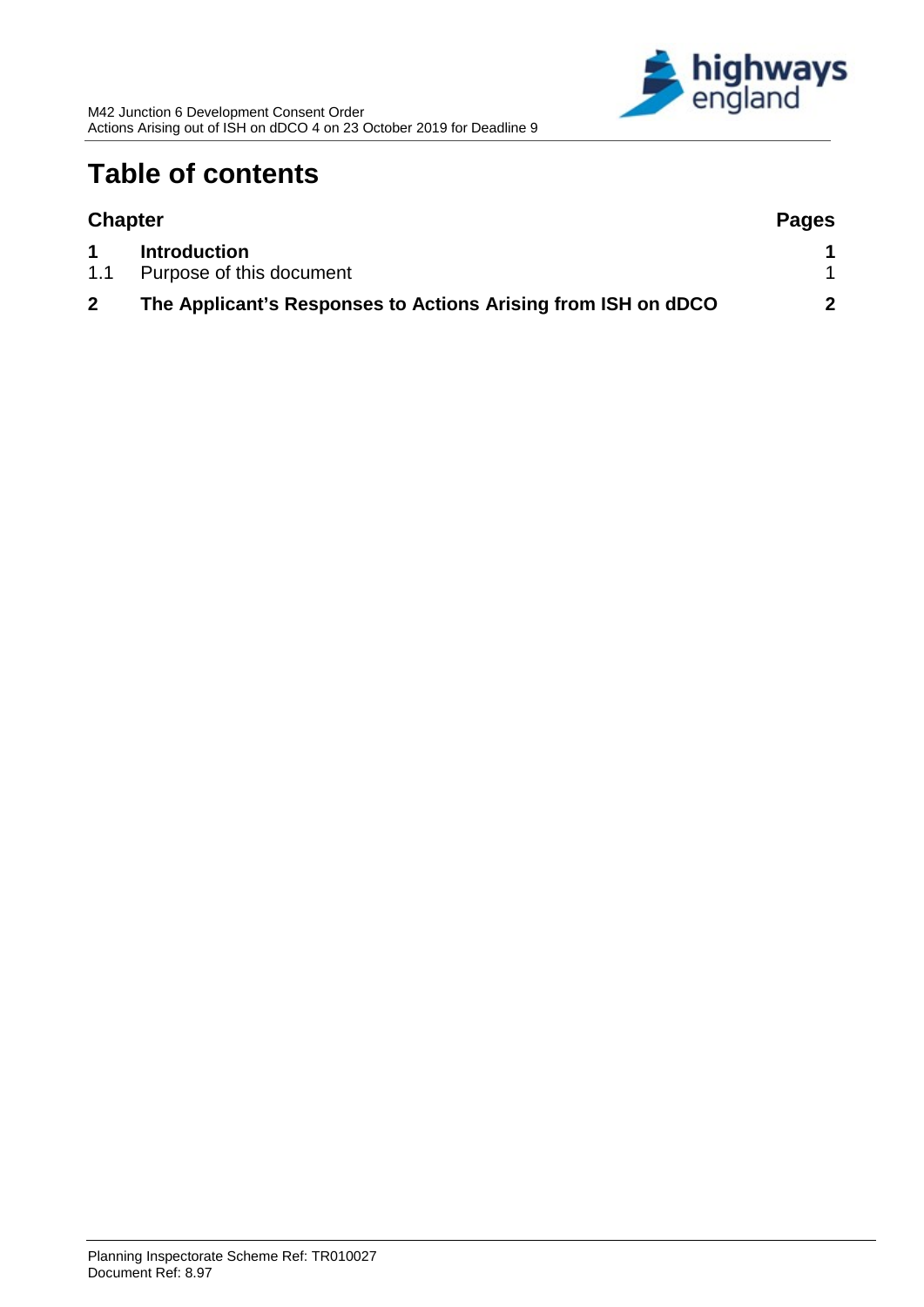

## **Table of contents**

| <b>Chapter</b> |                                                               | <b>Pages</b> |  |
|----------------|---------------------------------------------------------------|--------------|--|
|                | <b>Introduction</b>                                           |              |  |
| 1.1            | Purpose of this document                                      |              |  |
|                | The Applicant's Responses to Actions Arising from ISH on dDCO | 2            |  |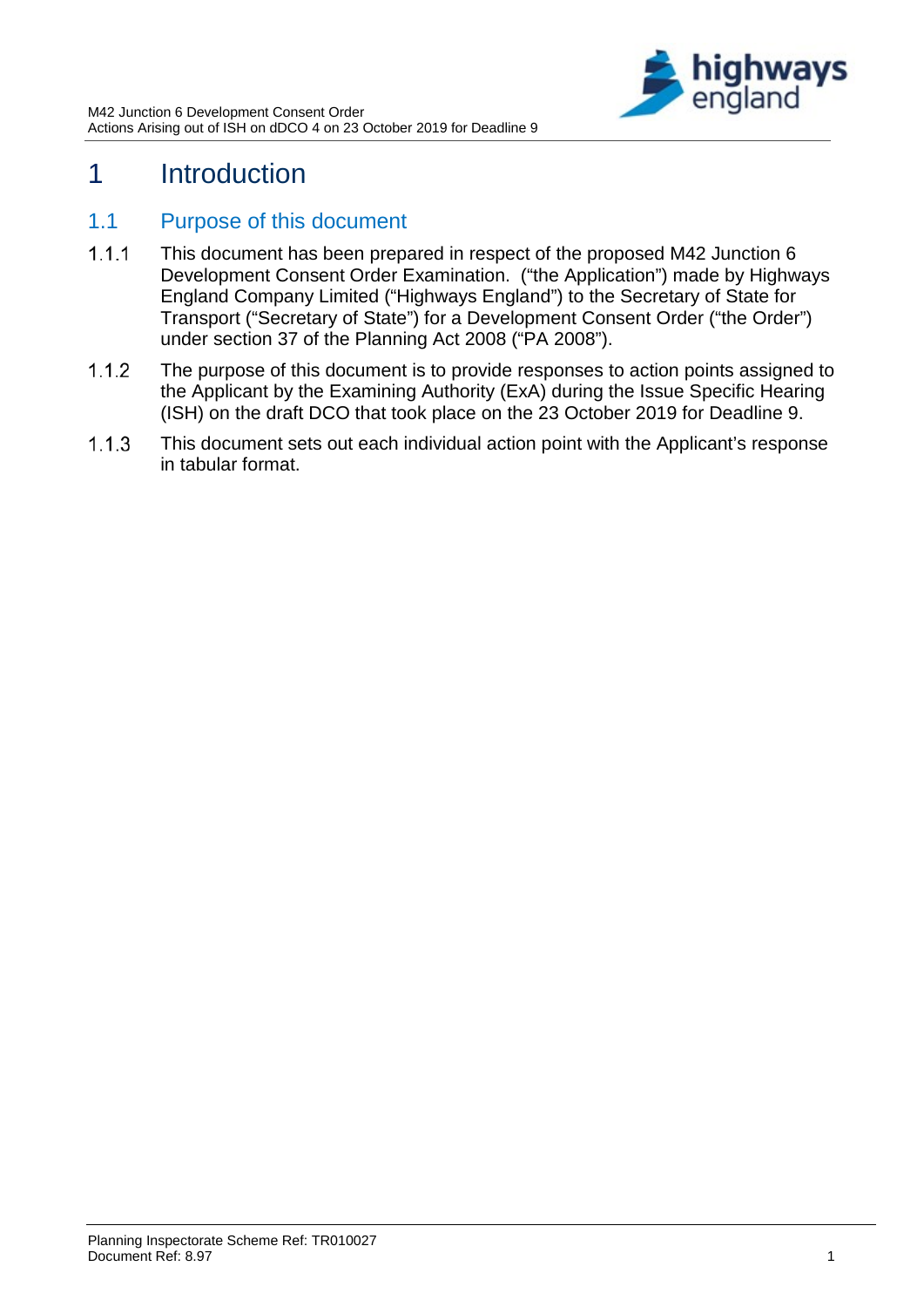

### <span id="page-3-0"></span>1 Introduction

#### <span id="page-3-1"></span>1.1 Purpose of this document

- $1.1.1$ This document has been prepared in respect of the proposed M42 Junction 6 Development Consent Order Examination. ("the Application") made by Highways England Company Limited ("Highways England") to the Secretary of State for Transport ("Secretary of State") for a Development Consent Order ("the Order") under section 37 of the Planning Act 2008 ("PA 2008").
- $1.1.2$ The purpose of this document is to provide responses to action points assigned to the Applicant by the Examining Authority (ExA) during the Issue Specific Hearing (ISH) on the draft DCO that took place on the 23 October 2019 for Deadline 9.
- $1.1.3$ This document sets out each individual action point with the Applicant's response in tabular format.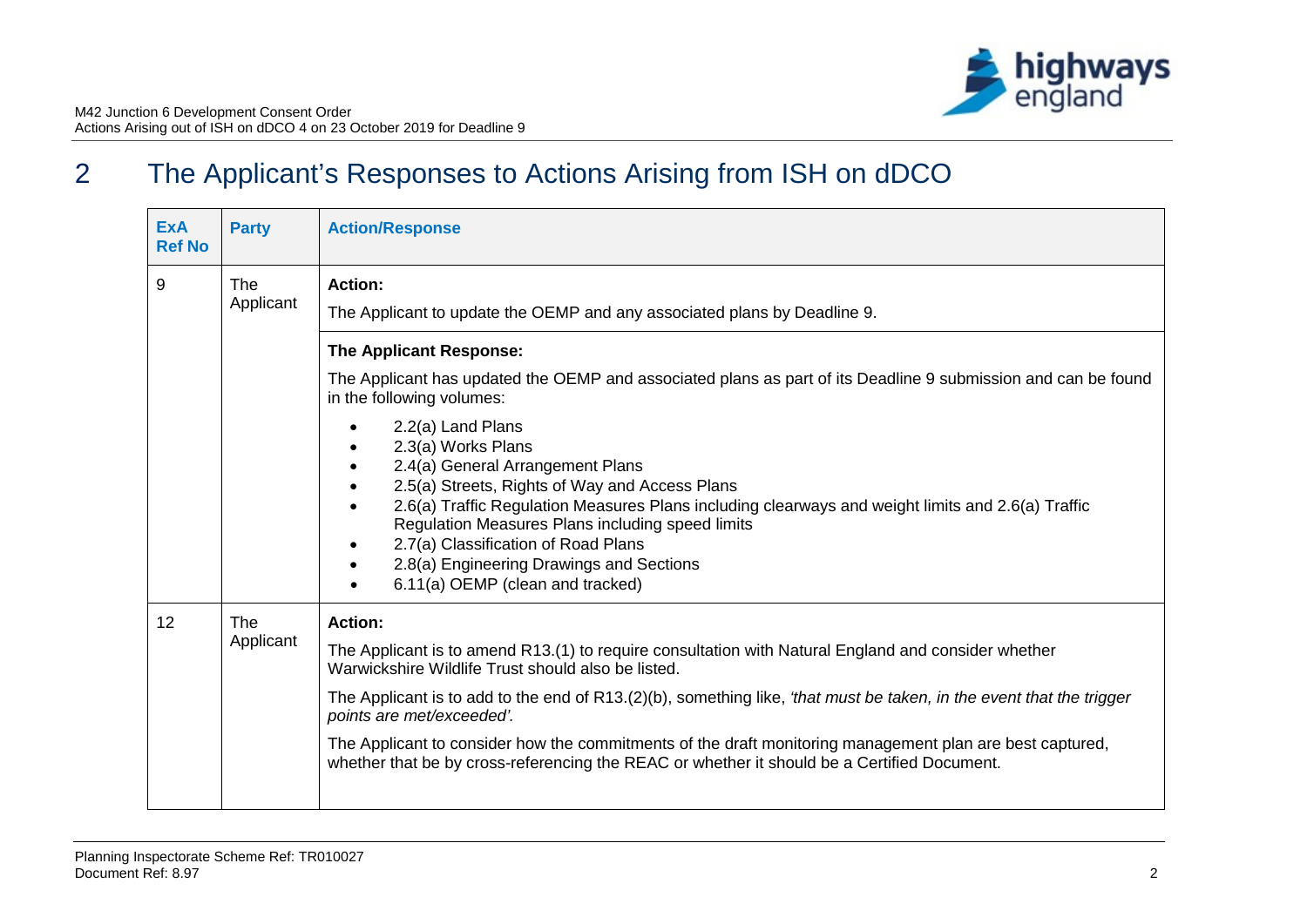## 2 The Applicant's Responses to Actions Arising from ISH on dDCO

<span id="page-4-0"></span>

| <b>ExA</b><br><b>Ref No</b> | <b>Party</b>            | <b>Action/Response</b>                                                                                                                                                                                                                                                                                                                                                                                                                                                                                                                      |
|-----------------------------|-------------------------|---------------------------------------------------------------------------------------------------------------------------------------------------------------------------------------------------------------------------------------------------------------------------------------------------------------------------------------------------------------------------------------------------------------------------------------------------------------------------------------------------------------------------------------------|
| 9                           | <b>The</b><br>Applicant | <b>Action:</b><br>The Applicant to update the OEMP and any associated plans by Deadline 9.                                                                                                                                                                                                                                                                                                                                                                                                                                                  |
|                             |                         | The Applicant Response:<br>The Applicant has updated the OEMP and associated plans as part of its Deadline 9 submission and can be found                                                                                                                                                                                                                                                                                                                                                                                                    |
|                             |                         | in the following volumes:<br>2.2(a) Land Plans<br>2.3(a) Works Plans<br>2.4(a) General Arrangement Plans<br>2.5(a) Streets, Rights of Way and Access Plans<br>2.6(a) Traffic Regulation Measures Plans including clearways and weight limits and 2.6(a) Traffic<br>Regulation Measures Plans including speed limits<br>2.7(a) Classification of Road Plans<br>2.8(a) Engineering Drawings and Sections<br>6.11(a) OEMP (clean and tracked)                                                                                                  |
| 12                          | <b>The</b><br>Applicant | <b>Action:</b><br>The Applicant is to amend R13.(1) to require consultation with Natural England and consider whether<br>Warwickshire Wildlife Trust should also be listed.<br>The Applicant is to add to the end of R13.(2)(b), something like, 'that must be taken, in the event that the trigger<br>points are met/exceeded'.<br>The Applicant to consider how the commitments of the draft monitoring management plan are best captured,<br>whether that be by cross-referencing the REAC or whether it should be a Certified Document. |